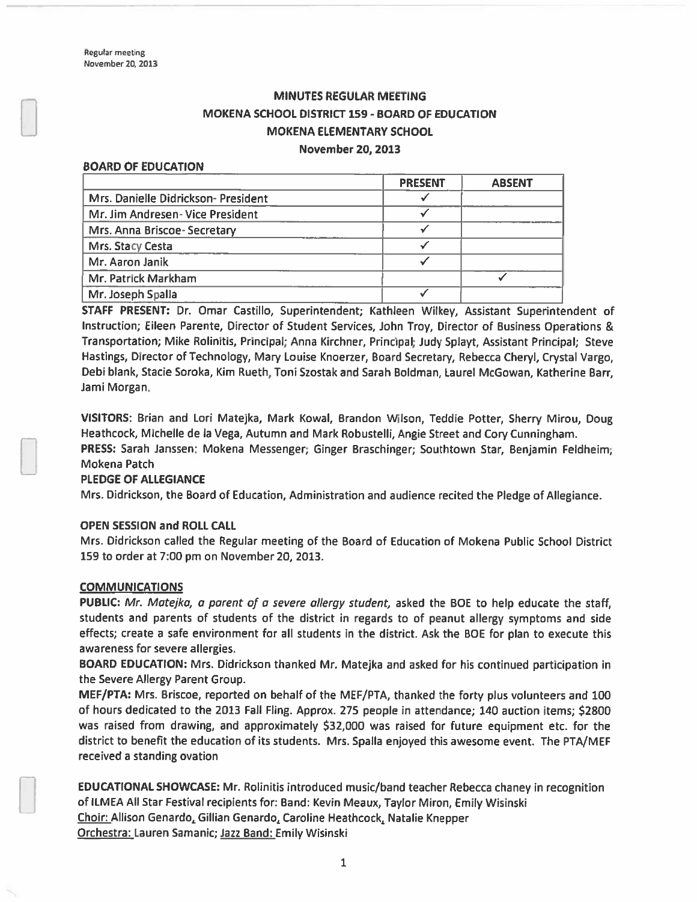# MINUTES REGULAR MEETING MOKENA SCHOOL DISTRICT 159- BOARD OF EDUCATION MOKENA ELEMENTARY SCHOOL November 20, 2013

#### BOARD OF EDUCATION

|                                    | <b>PRESENT</b> | <b>ABSENT</b> |
|------------------------------------|----------------|---------------|
| Mrs. Danielle Didrickson-President |                |               |
| Mr. Jim Andresen- Vice President   |                |               |
| Mrs. Anna Briscoe-Secretary        |                |               |
| Mrs. Stacy Cesta                   |                |               |
| Mr. Aaron Janik                    |                |               |
| Mr. Patrick Markham                |                |               |
| Mr. Joseph Spalla                  |                |               |

STAFF PRESENT: Dr. Omar Castillo, Superintendent; Kathleen Wilkey, Assistant Superintendent of Instruction; Eileen Parente, Director of Student Services, John Troy, Director of Business Operations & Transportation; Mike Rolinitis, Principal; Anna Kirchner, Principal; Judy Splayt, Assistant Principal; Steve Hastings, Director of Technology, Mary Louise Knoerzer, Board Secretary, Rebecca Cheryl, Crystal Vargo, Debi blank, Stacie Soroka, Kim Rueth, Toni Szostak and Sarah Boldman, Laurel McGowan, Katherine Barr, Jami Morgan.

VISITORS: Brian and Lori Matejka, Mark Kowal, Brandon Wilson, Teddie Potter, Sherry Mirou, Doug Heathcock, Michelle de Ia Vega, Autumn and Mark Robustelli, Angie Street and Cory Cunningham.

PRESS: Sarah Janssen: Mokena Messenger; Ginger Braschinger; Southtown Star, Benjamin Feldheim; Mokena Patch

#### PLEDGE OF ALLEGIANCE

Mrs. Didrickson, the Board of Education, Administration and audience recited the Pledge of Allegiance.

#### OPEN SESSION and ROLL CALL

Mrs. Didrickson called the Regular meeting of the Board of Education of Mokena Public School District 159 to order at 7:00 pm on November 20, 2013.

#### COMMUNICATIONS

PUBLIC: Mr. Matejka, a parent of a severe allergy student, asked the BOE to help educate the staff, students and parents of students of the district in regards to of peanu<sup>t</sup> allergy symptoms and side effects; create <sup>a</sup> safe environment for all students in the district. Ask the BOE for <sup>p</sup>lan to execute this awareness for severe allergies.

BOARD EDUCATION: Mrs. Didrickson thanked Mr. Matejka and asked for his continued participation in the Severe Allergy Parent Group.

MEF/PTA: Mrs. Briscoe, reported on behalf of the MEF/PTA, thanked the forty plus volunteers and 100 of hours dedicated to the 2013 Fall Fling. Approx. 275 people in attendance; 140 auction items; \$2800 was raised from drawing, and approximately \$32,000 was raised for future equipment etc. for the district to benefit the education of its students. Mrs. Spalla enjoyed this awesome event. The PTA/MEF received <sup>a</sup> standing ovation

EDUCATIONAL SHOWCASE: Mr. Rolinitis introduced music/band teacher Rebecca chaney in recognition of ILMEA All Star Festival recipients for: Band: Kevin Meaux, Taylor Miron, Emily Wisinski Choir: Allison Genardo, Gillian Genardo, Caroline Heathcock, Natalie Knepper Orchestra: Lauren Samanic; Jazz Band: Emily Wisinski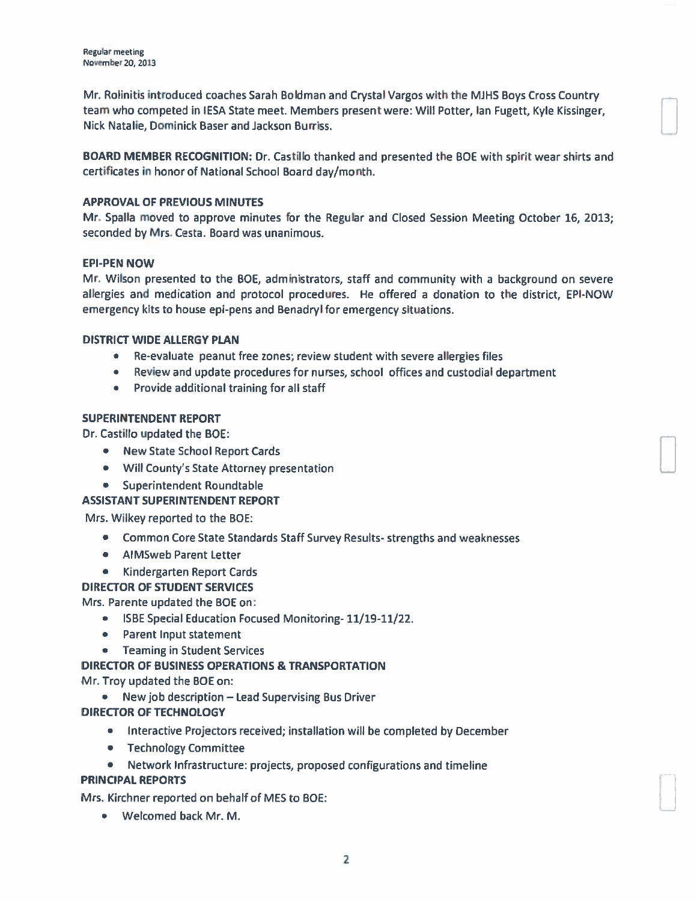Mr. Rolinitis introduced coaches Sarah Boidman and Crystal Vargos with the MJHS Boys Cross Country team who competed in IESA State meet. Members presen<sup>t</sup> were: Will Potter, Ian Fugett, Kyle Kissinger, Nick Natalie, Dominick Baser and Jackson Burriss.

BOARD MEMBER RECOGNITION: Dr. Castillo thanked and presented the BCE with spirit wear shirts and certificates in honor of National School Board day/month.

### APPROVAL OF PREVIOUS MINUTES

Mr. Spalla moved to approve minutes for the Regular and Closed Session Meeting October 16, 2013; seconded by Mrs. Cesta. Board was unanimous.

### EPI-PEN NOW

Mr. Wilson presented to the BOE, administrators, staff and community with a background on severe allergies and medication and protocol procedures. He offered <sup>a</sup> donation to the district, EPI-NOW emergency kits to house epi-pens and Benadryl for emergency situations.

### DISTRICT WIDE ALLERGY PLAN

- Re-evaluate peanut free zones; review student with severe allergies file
- Review and update procedures for nurses, school offices and custodial departmen
- Provide additional training for all staff

### SUPERINTENDENT REPORT

Dr. Castillo updated the BOE

- New State School Report Card
- Will County's State Attorney presentation
- Superintendent Roundtable

## ASSISTANT SUPERINTENDENT REPORT

Mrs. Wilkey reported to the BOF:

- Common Core State Standards Staff Survey Results- strengths and weaknesse
- AIMSweb Parent Letter
- Kindergarten Report Card

#### DIRECTOR OF STUDENT SERVICES

Mrs. Parente updated the BCE on:

- ISBE Special Education Focused Monitoring- 11/19-11/22.
- $\bullet$  Parent Input statement
- Teaming in Student Service

## DIRECTOR OF BUSINESS OPERATIONS & TRANSPORTATION

Mr. Troy updated the BCE on:

• New job description  $-$  Lead Supervising Bus Drive

## DIRECTOR OF TECHNOLOGY

- Interactive Projectors received; installation will be completed by December
- Technology Committee
- •• Network Infrastructure: projects, proposed configurations and timeline **PRINCIPAL REPORTS**

Mrs. Kirchner reported on behalf of MES to BOE

• Welcomed back Mr. M.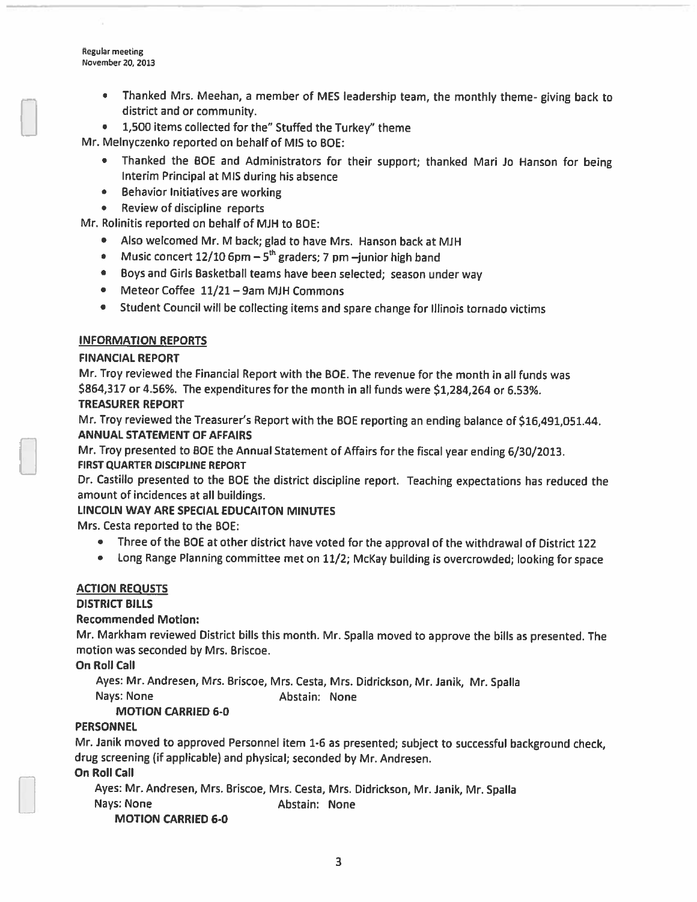Regular meeting November 20, 2013

- Thanked Mrs. Meehan, <sup>a</sup> member of MES leadership team, the monthly theme- <sup>g</sup>iving back to district and or community.
- 1,500 items collected for the" Stuffed the Turkey" theme

Mr. Melnyczenko reported on behalf of MIS to BOE:

- Thanked the BOE and Administrators for their support; thanked Mari Jo Hanson for being Interim Principal at MIS during his absence
- Behavior Initiatives are working
- •Review of discipline reports

Mr. Rolinitis reported on behalf of MJH to BOE:

- Also welcomed Mr. <sup>M</sup> back; <sup>g</sup>lad to have Mrs. Hanson back at MJH
- •Music concert  $12/10$  6pm  $-5<sup>th</sup>$  graders; 7 pm  $-i$ unior high band
- Boys and Girls Basketball teams have been selected; season under way
- Meteor Coffee 11/21 9am MJH Commons
- •Student Council will be collecting items and spare change for Illinois tornado victims

## INFORMATION REPORTS

## FINANCIAL REPORT

Mr. Troy reviewed the Financial Report with the BCE. The revenue for the month in all funds was \$864,317 or 4.56%. The expenditures for the month in all funds were \$1,284,264 or 6.53%. TREASURER REPORT

Mr. Troy reviewed the Treasurer's Report with the BOE reporting an ending balance of \$16,491,051.44. ANNUAL STATEMENT OF AFFAIRS

Mr. Troy presented to BCE the Annual Statement of Affairs for the fiscal year ending 6/30/2013. FIRST QUARTER DISCIPLINE REPORT

Dr. Castillo presented to the BCE the district discipline report. Teaching expectations has reduced the amount of incidences at all buildings.

## LINCOLN WAY ARE SPECIAL EDUCAITON MINUTES

Mrs. Cesta reported to the BOE:

- Three of the BCE at other district have voted for the approva<sup>l</sup> of the withdrawal of District <sup>122</sup>
- •Long Range Planning committee met on 11/2; McKay building is overcrowded; looking for space

## ACTION REQUSTS

## DISTRICT BILLS

## Recommended Motion:

Mr. Markham reviewed District bills this month. Mr. Spalla moved to approve the bills as presented. The motion was seconded by Mrs. Briscoe.

On Roll Call

Ayes: Mr. Andresen, Mrs. Briscoe, Mrs. Cesta, Mrs. Didrickson, Mr. Janik, Mr. Spalla Nays: None **Abstain: None** 

## MOTION CARRIED 6-0

## **PERSONNEL**

Mr. Janik moved to approve<sup>d</sup> Personnel item 1-6 as presented; subject to successful background check, drug screening (if applicable) and <sup>p</sup>hysical; seconded by Mr. Andresen.

On Roll Call

Ayes: Mr. Andresen, Mrs. Briscoe, Mrs. Cesta, Mrs. Didrickson, Mr. Janik, Mr. Spalla Nays: None **Abstain: None** MOTION CARRIED 6-0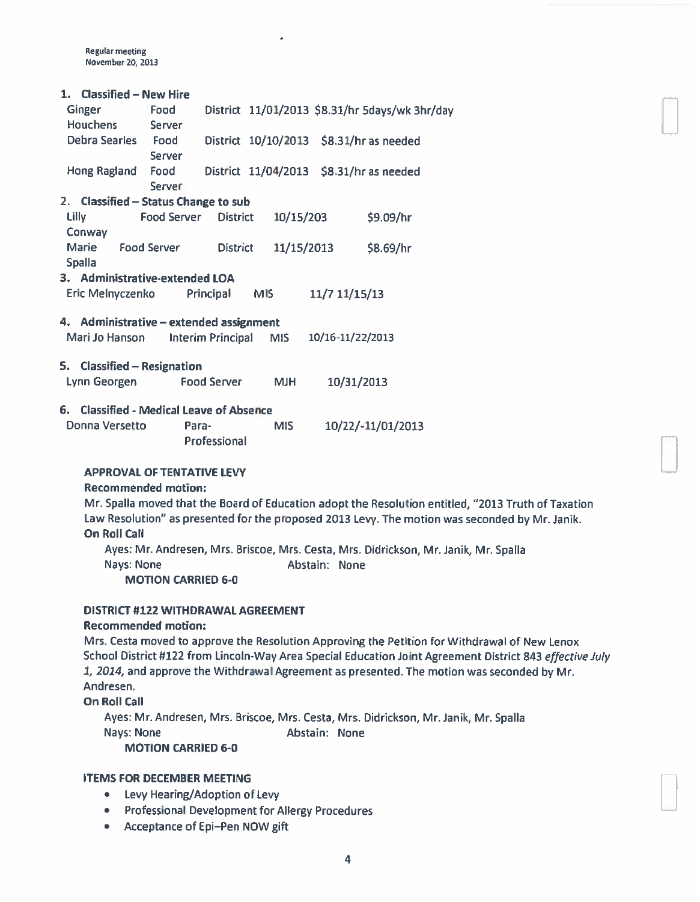Regular meeting November 20, 201

#### 1. Classified — New Hire

| <b>Ginger</b><br><b>Houchens</b>        | Food<br><b>Server</b> |                          |      |            |                  | District 11/01/2013 \$8.31/hr 5days/wk 3hr/day |
|-----------------------------------------|-----------------------|--------------------------|------|------------|------------------|------------------------------------------------|
| Debra Searles                           | Food<br>Server        |                          |      |            |                  | District 10/10/2013 \$8.31/hr as needed        |
| Hong Ragland                            | Food<br>Server        |                          |      |            |                  | District 11/04/2013 \$8.31/hr as needed        |
| 2. Classified - Status Change to sub    |                       |                          |      |            |                  |                                                |
| Lilly                                   | Food Server           | <b>District</b>          |      | 10/15/203  |                  | \$9.09/hr                                      |
| Conway                                  |                       |                          |      |            |                  |                                                |
| <b>Marie</b><br><b>Spalla</b>           | <b>Food Server</b>    | <b>District</b>          |      | 11/15/2013 |                  | \$8.69/hr                                      |
| 3. Administrative-extended LOA          |                       |                          |      |            |                  |                                                |
| Eric Melnyczenko                        |                       | Principal                | MIS. |            | 11/7 11/15/13    |                                                |
| 4. Administrative – extended assignment |                       |                          |      |            |                  |                                                |
| Mari Jo Hanson                          |                       | <b>Interim Principal</b> |      | MIS.       | 10/16-11/22/2013 |                                                |
| 5.<br><b>Classified – Resignation</b>   |                       |                          |      |            |                  |                                                |
| Lynn Georgen                            |                       | Food Server              |      | <b>MJH</b> | 10/31/2013       |                                                |

#### 6. Classified - Medical Leave of Absence

| Donna Versetto | Para-               | <b>MIS</b> | 10/22/-11/01/2013 |
|----------------|---------------------|------------|-------------------|
|                | <b>Professional</b> |            |                   |

#### APPROVAL OF TENTATIVE LEVY

#### Recommended motion:

Mr. Spalla moved that the Board of Education adopt the Resolution entitled, "2013 Truth of Taxation Law Resolution" as presented for the propose<sup>d</sup> <sup>2013</sup> Levy. The motion was seconded by Mr. Janik. On Roll Call

Ayes: Mr. Andresen, Mrs. Briscoe, Mrs. Cesta, Mrs. Didrickson, Mr. Janik, Mr. Spalla Nays: None **Abstain: None** 

MOTION CARRIED 6-0

#### DISTRICT #122 WITHDRAWAL AGREEMENT

#### Recommended motion:

Mrs. Cesta moved to approve the Resolution Approving the Petition for Withdrawal of New Lenox School District #122 from Lincoln-Way Area Special Education Joint Agreement District 843 effective July 1, 2014, and approve the Withdrawal Agreement as presented. The motion was seconded by Mr. Andresen.

On Roll Call

Ayes: Mr. Andresen, Mrs. Briscoe, Mrs. Cesta, Mrs. Didrickson, Mr. Janik, Mr. Spalla Nays: None **Abstain: None** MOTION CARRIED 6-0

#### ITEMS FOR DECEMBER MEETING

- Levy Hearing/Adoption of Levy
- Professional Development for Allergy Procedures
- Acceptance of Epi—Pen NOW gift